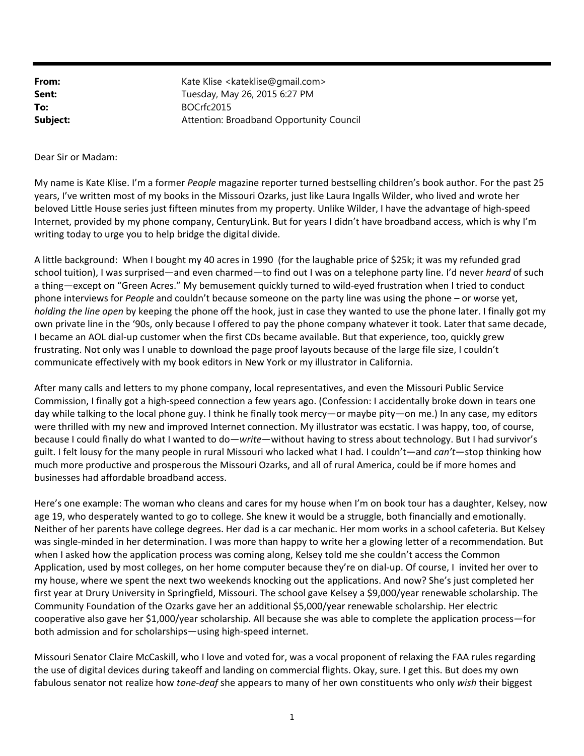| From:    | Kate Klise <kateklise@gmail.com></kateklise@gmail.com> |
|----------|--------------------------------------------------------|
| Sent:    | Tuesday, May 26, 2015 6:27 PM                          |
| To:      | BOCrfc2015                                             |
| Subject: | Attention: Broadband Opportunity Council               |

Dear Sir or Madam:

My name is Kate Klise. I'm a former *People* magazine reporter turned bestselling children's book author. For the past 25 years, I've written most of my books in the Missouri Ozarks, just like Laura Ingalls Wilder, who lived and wrote her beloved Little House series just fifteen minutes from my property. Unlike Wilder, I have the advantage of high‐speed Internet, provided by my phone company, CenturyLink. But for years I didn't have broadband access, which is why I'm writing today to urge you to help bridge the digital divide.

A little background: When I bought my 40 acres in 1990 (for the laughable price of \$25k; it was my refunded grad school tuition), I was surprised—and even charmed—to find out I was on a telephone party line. I'd never *heard* of such a thing—except on "Green Acres." My bemusement quickly turned to wild-eyed frustration when I tried to conduct phone interviews for *People* and couldn't because someone on the party line was using the phone – or worse yet, *holding the line open* by keeping the phone off the hook, just in case they wanted to use the phone later. I finally got my own private line in the '90s, only because I offered to pay the phone company whatever it took. Later that same decade, I became an AOL dial‐up customer when the first CDs became available. But that experience, too, quickly grew frustrating. Not only was I unable to download the page proof layouts because of the large file size, I couldn't communicate effectively with my book editors in New York or my illustrator in California.

After many calls and letters to my phone company, local representatives, and even the Missouri Public Service Commission, I finally got a high‐speed connection a few years ago. (Confession: I accidentally broke down in tears one day while talking to the local phone guy. I think he finally took mercy—or maybe pity—on me.) In any case, my editors were thrilled with my new and improved Internet connection. My illustrator was ecstatic. I was happy, too, of course, because I could finally do what I wanted to do—*write*—without having to stress about technology. But I had survivor's guilt. I felt lousy for the many people in rural Missouri who lacked what I had. I couldn't—and *can't*—stop thinking how much more productive and prosperous the Missouri Ozarks, and all of rural America, could be if more homes and businesses had affordable broadband access.

Here's one example: The woman who cleans and cares for my house when I'm on book tour has a daughter, Kelsey, now age 19, who desperately wanted to go to college. She knew it would be a struggle, both financially and emotionally. Neither of her parents have college degrees. Her dad is a car mechanic. Her mom works in a school cafeteria. But Kelsey was single-minded in her determination. I was more than happy to write her a glowing letter of a recommendation. But when I asked how the application process was coming along, Kelsey told me she couldn't access the Common Application, used by most colleges, on her home computer because they're on dial‐up. Of course, I invited her over to my house, where we spent the next two weekends knocking out the applications. And now? She's just completed her first year at Drury University in Springfield, Missouri. The school gave Kelsey a \$9,000/year renewable scholarship. The Community Foundation of the Ozarks gave her an additional \$5,000/year renewable scholarship. Her electric cooperative also gave her \$1,000/year scholarship. All because she was able to complete the application process—for both admission and for scholarships—using high‐speed internet.

Missouri Senator Claire McCaskill, who I love and voted for, was a vocal proponent of relaxing the FAA rules regarding the use of digital devices during takeoff and landing on commercial flights. Okay, sure. I get this. But does my own fabulous senator not realize how *tone-deaf* she appears to many of her own constituents who only *wish* their biggest